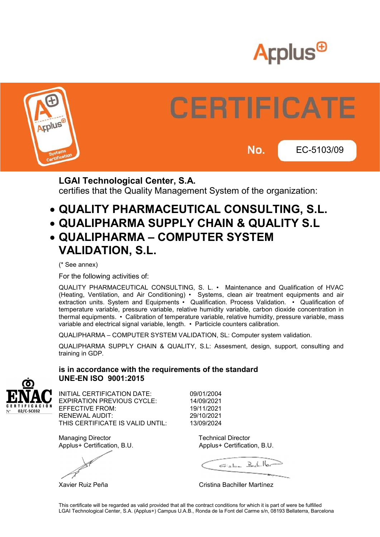



# **CERTIFICATE** EC-5103/09

No.

LGAI Technological Center, S.A. certifies that the Quality Management System of the organization:

- QUALITY PHARMACEUTICAL CONSULTING, S.L.
- QUALIPHARMA SUPPLY CHAIN & QUALITY S.L
- QUALIPHARMA COMPUTER SYSTEM VALIDATION, S.L.

(\* See annex)

For the following activities of:

QUALITY PHARMACEUTICAL CONSULTING, S. L. • Maintenance and Qualification of HVAC (Heating, Ventilation, and Air Conditioning) • Systems, clean air treatment equipments and air extraction units. System and Equipments • Qualification. Process Validation. • Qualification of temperature variable, pressure variable, relative humidity variable, carbon dioxide concentration in thermal equipments. • Calibration of temperature variable, relative humidity, pressure variable, mass variable and electrical signal variable, length. • Particicle counters calibration.

QUALIPHARMA – COMPUTER SYSTEM VALIDATION, SL: Computer system validation.

QUALIPHARMA SUPPLY CHAIN & QUALITY, S.L: Assesment, design, support, consulting and training in GDP.



#### is in accordance with the requirements of the standard UNE-EN ISO 9001:2015

INITIAL CERTIFICATION DATE: 09/01/2004 EXPIRATION PREVIOUS CYCLE: 14/09/2021 EFFECTIVE FROM: 19/11/2021 RENEWAL AUDIT: 29/10/2021 THIS CERTIFICATE IS VALID UNTIL: 13/09/2024

Managing Director **Technical Director** Technical Director Applus+ Certification, B.U. Applus+ Certification, B.U.

Eishe Bach. Hor

Xavier Ruiz Peña **Cristina Bachiller Martínez**